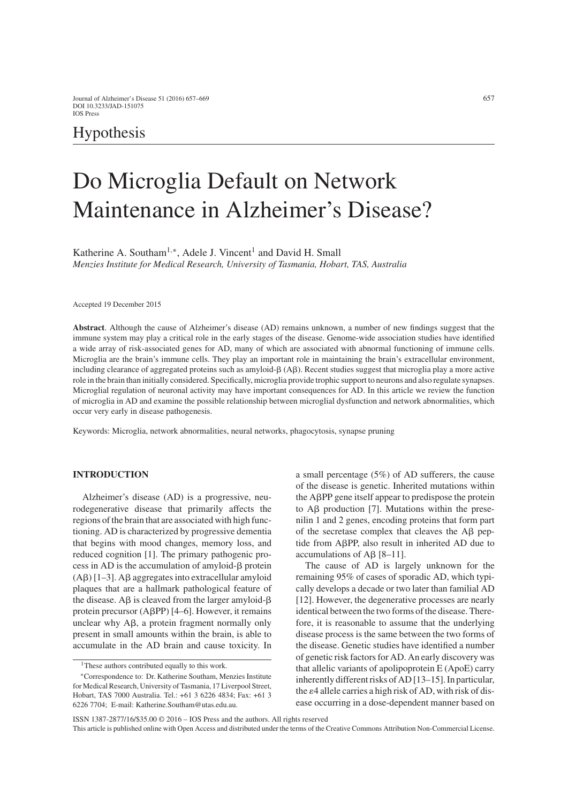Journal of Alzheimer's Disease 51 (2016) 657–669 DOI 10.3233/JAD-151075 IOS Press

# Hypothesis

# Do Microglia Default on Network Maintenance in Alzheimer's Disease?

Katherine A. Southam<sup>1,∗</sup>, Adele J. Vincent<sup>1</sup> and David H. Small *Menzies Institute for Medical Research, University of Tasmania, Hobart, TAS, Australia*

Accepted 19 December 2015

**Abstract**. Although the cause of Alzheimer's disease (AD) remains unknown, a number of new findings suggest that the immune system may play a critical role in the early stages of the disease. Genome-wide association studies have identified a wide array of risk-associated genes for AD, many of which are associated with abnormal functioning of immune cells. Microglia are the brain's immune cells. They play an important role in maintaining the brain's extracellular environment, including clearance of aggregated proteins such as amyloid- $\beta$  (A $\beta$ ). Recent studies suggest that microglia play a more active role in the brain than initially considered. Specifically, microglia provide trophic support to neurons and also regulate synapses. Microglial regulation of neuronal activity may have important consequences for AD. In this article we review the function of microglia in AD and examine the possible relationship between microglial dysfunction and network abnormalities, which occur very early in disease pathogenesis.

Keywords: Microglia, network abnormalities, neural networks, phagocytosis, synapse pruning

# **INTRODUCTION**

Alzheimer's disease (AD) is a progressive, neurodegenerative disease that primarily affects the regions of the brain that are associated with high functioning. AD is characterized by progressive dementia that begins with mood changes, memory loss, and reduced cognition [1]. The primary pathogenic process in AD is the accumulation of amyloid- $\beta$  protein  $(A\beta)$  [1–3]. A $\beta$  aggregates into extracellular amyloid plaques that are a hallmark pathological feature of the disease.  $A\beta$  is cleaved from the larger amyloid- $\beta$ protein precursor  $(A\beta PP)$  [4–6]. However, it remains unclear why  $A\beta$ , a protein fragment normally only present in small amounts within the brain, is able to accumulate in the AD brain and cause toxicity. In a small percentage (5%) of AD sufferers, the cause of the disease is genetic. Inherited mutations within the A<sub>B</sub>PP gene itself appear to predispose the protein to  $\text{A}\beta$  production [7]. Mutations within the presenilin 1 and 2 genes, encoding proteins that form part of the secretase complex that cleaves the  $\overrightarrow{AB}$  peptide from A $\beta$ PP, also result in inherited AD due to accumulations of A $\beta$  [8–11].

The cause of AD is largely unknown for the remaining 95% of cases of sporadic AD, which typically develops a decade or two later than familial AD [12]. However, the degenerative processes are nearly identical between the two forms of the disease. Therefore, it is reasonable to assume that the underlying disease process is the same between the two forms of the disease. Genetic studies have identified a number of genetic risk factors for AD. An early discovery was that allelic variants of apolipoprotein E (ApoE) carry inherently different risks of AD [13–15]. In particular, the  $\varepsilon$ 4 allele carries a high risk of AD, with risk of disease occurring in a dose-dependent manner based on

<sup>&</sup>lt;sup>1</sup>These authors contributed equally to this work.

<sup>∗</sup>Correspondence to: Dr. Katherine Southam, Menzies Institute for Medical Research, University of Tasmania, 17 Liverpool Street, Hobart, TAS 7000 Australia. Tel.: +61 3 6226 4834; Fax: +61 3 6226 7704; E-mail: Katherine.Southam@utas.edu.au.

ISSN 1387-2877/16/\$35.00 © 2016 – IOS Press and the authors. All rights reserved This article is published online with Open Access and distributed under the terms of the Creative Commons Attribution Non-Commercial License.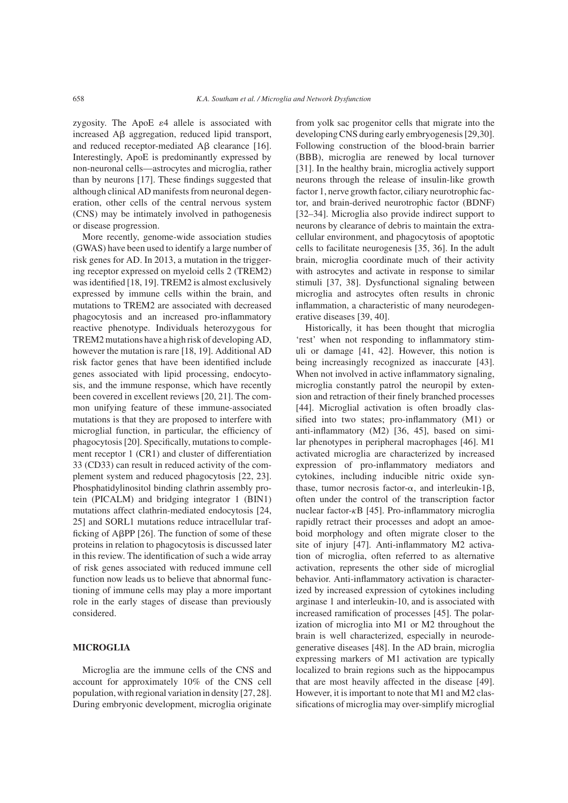zygosity. The ApoE  $\varepsilon$ 4 allele is associated with increased  $\text{A}\beta$  aggregation, reduced lipid transport, and reduced receptor-mediated  $\text{A}\beta$  clearance [16]. Interestingly, ApoE is predominantly expressed by non-neuronal cells—astrocytes and microglia, rather than by neurons [17]. These findings suggested that although clinical AD manifests from neuronal degeneration, other cells of the central nervous system (CNS) may be intimately involved in pathogenesis or disease progression.

More recently, genome-wide association studies (GWAS) have been used to identify a large number of risk genes for AD. In 2013, a mutation in the triggering receptor expressed on myeloid cells 2 (TREM2) was identified [18, 19]. TREM2 is almost exclusively expressed by immune cells within the brain, and mutations to TREM2 are associated with decreased phagocytosis and an increased pro-inflammatory reactive phenotype. Individuals heterozygous for TREM2 mutations have a high risk of developing AD, however the mutation is rare [18, 19]. Additional AD risk factor genes that have been identified include genes associated with lipid processing, endocytosis, and the immune response, which have recently been covered in excellent reviews [20, 21]. The common unifying feature of these immune-associated mutations is that they are proposed to interfere with microglial function, in particular, the efficiency of phagocytosis [20]. Specifically, mutations to complement receptor 1 (CR1) and cluster of differentiation 33 (CD33) can result in reduced activity of the complement system and reduced phagocytosis [22, 23]. Phosphatidylinositol binding clathrin assembly protein (PICALM) and bridging integrator 1 (BIN1) mutations affect clathrin-mediated endocytosis [24, 25] and SORL1 mutations reduce intracellular trafficking of A $\beta$ PP [26]. The function of some of these proteins in relation to phagocytosis is discussed later in this review. The identification of such a wide array of risk genes associated with reduced immune cell function now leads us to believe that abnormal functioning of immune cells may play a more important role in the early stages of disease than previously considered.

# **MICROGLIA**

Microglia are the immune cells of the CNS and account for approximately 10% of the CNS cell population, with regional variation in density [27, 28]. During embryonic development, microglia originate from yolk sac progenitor cells that migrate into the developing CNS during early embryogenesis [29,30]. Following construction of the blood-brain barrier (BBB), microglia are renewed by local turnover [31]. In the healthy brain, microglia actively support neurons through the release of insulin-like growth factor 1, nerve growth factor, ciliary neurotrophic factor, and brain-derived neurotrophic factor (BDNF) [32–34]. Microglia also provide indirect support to neurons by clearance of debris to maintain the extracellular environment, and phagocytosis of apoptotic cells to facilitate neurogenesis [35, 36]. In the adult brain, microglia coordinate much of their activity with astrocytes and activate in response to similar stimuli [37, 38]. Dysfunctional signaling between microglia and astrocytes often results in chronic inflammation, a characteristic of many neurodegenerative diseases [39, 40].

Historically, it has been thought that microglia 'rest' when not responding to inflammatory stimuli or damage [41, 42]. However, this notion is being increasingly recognized as inaccurate [43]. When not involved in active inflammatory signaling, microglia constantly patrol the neuropil by extension and retraction of their finely branched processes [44]. Microglial activation is often broadly classified into two states; pro-inflammatory (M1) or anti-inflammatory (M2) [36, 45], based on similar phenotypes in peripheral macrophages [46]. M1 activated microglia are characterized by increased expression of pro-inflammatory mediators and cytokines, including inducible nitric oxide synthase, tumor necrosis factor- $\alpha$ , and interleukin-1 $\beta$ , often under the control of the transcription factor nuclear factor-κB [45]. Pro-inflammatory microglia rapidly retract their processes and adopt an amoeboid morphology and often migrate closer to the site of injury [47]. Anti-inflammatory M2 activation of microglia, often referred to as alternative activation, represents the other side of microglial behavior. Anti-inflammatory activation is characterized by increased expression of cytokines including arginase 1 and interleukin-10, and is associated with increased ramification of processes [45]. The polarization of microglia into M1 or M2 throughout the brain is well characterized, especially in neurodegenerative diseases [48]. In the AD brain, microglia expressing markers of M1 activation are typically localized to brain regions such as the hippocampus that are most heavily affected in the disease [49]. However, it is important to note that M1 and M2 classifications of microglia may over-simplify microglial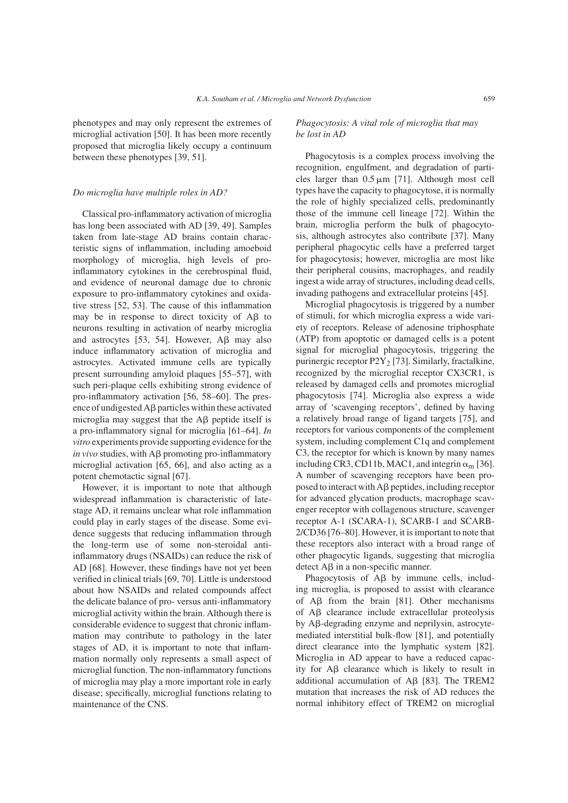phenotypes and may only represent the extremes of microglial activation [50]. It has been more recently proposed that microglia likely occupy a continuum between these phenotypes [39, 51].

### *Do microglia have multiple roles in AD?*

Classical pro-inflammatory activation of microglia has long been associated with AD [39, 49]. Samples taken from late-stage AD brains contain characteristic signs of inflammation, including amoeboid morphology of microglia, high levels of proinflammatory cytokines in the cerebrospinal fluid, and evidence of neuronal damage due to chronic exposure to pro-inflammatory cytokines and oxidative stress [52, 53]. The cause of this inflammation may be in response to direct toxicity of  $\overrightarrow{AB}$  to neurons resulting in activation of nearby microglia and astrocytes [53, 54]. However,  $\overrightarrow{AB}$  may also induce inflammatory activation of microglia and astrocytes. Activated immune cells are typically present surrounding amyloid plaques [55–57], with such peri-plaque cells exhibiting strong evidence of pro-inflammatory activation [56, 58–60]. The presence of undigested  $\text{A}\beta$  particles within these activated microglia may suggest that the  $\overrightarrow{AB}$  peptide itself is a pro-inflammatory signal for microglia [61–64]. *In vitro* experiments provide supporting evidence for the  $in vivo$  studies, with  $A\beta$  promoting pro-inflammatory microglial activation [65, 66], and also acting as a potent chemotactic signal [67].

However, it is important to note that although widespread inflammation is characteristic of latestage AD, it remains unclear what role inflammation could play in early stages of the disease. Some evidence suggests that reducing inflammation through the long-term use of some non-steroidal antiinflammatory drugs (NSAIDs) can reduce the risk of AD [68]. However, these findings have not yet been verified in clinical trials [69, 70]. Little is understood about how NSAIDs and related compounds affect the delicate balance of pro- versus anti-inflammatory microglial activity within the brain. Although there is considerable evidence to suggest that chronic inflammation may contribute to pathology in the later stages of AD, it is important to note that inflammation normally only represents a small aspect of microglial function. The non-inflammatory functions of microglia may play a more important role in early disease; specifically, microglial functions relating to maintenance of the CNS.

# *Phagocytosis: A vital role of microglia that may be lost in AD*

Phagocytosis is a complex process involving the recognition, engulfment, and degradation of particles larger than  $0.5 \mu m$  [71]. Although most cell types have the capacity to phagocytose, it is normally the role of highly specialized cells, predominantly those of the immune cell lineage [72]. Within the brain, microglia perform the bulk of phagocytosis, although astrocytes also contribute [37]. Many peripheral phagocytic cells have a preferred target for phagocytosis; however, microglia are most like their peripheral cousins, macrophages, and readily ingest a wide array of structures, including dead cells, invading pathogens and extracellular proteins [45].

Microglial phagocytosis is triggered by a number of stimuli, for which microglia express a wide variety of receptors. Release of adenosine triphosphate (ATP) from apoptotic or damaged cells is a potent signal for microglial phagocytosis, triggering the purinergic receptor  $P2Y_2$  [73]. Similarly, fractalkine, recognized by the microglial receptor CX3CR1, is released by damaged cells and promotes microglial phagocytosis [74]. Microglia also express a wide array of 'scavenging receptors', defined by having a relatively broad range of ligand targets [75], and receptors for various components of the complement system, including complement C1q and complement C3, the receptor for which is known by many names including CR3, CD11b, MAC1, and integrin  $\alpha_{\rm m}$  [36]. A number of scavenging receptors have been pro $p$ osed to interact with  $\mathsf{A}\beta$  peptides, including receptor for advanced glycation products, macrophage scavenger receptor with collagenous structure, scavenger receptor A-1 (SCARA-1), SCARB-1 and SCARB-2/CD36 [76–80]. However, it is important to note that these receptors also interact with a broad range of other phagocytic ligands, suggesting that microglia detect  $\mathbf{A}\beta$  in a non-specific manner.

Phagocytosis of  $\overrightarrow{AB}$  by immune cells, including microglia, is proposed to assist with clearance of  $\overrightarrow{AB}$  from the brain [81]. Other mechanisms of  $\overrightarrow{AB}$  clearance include extracellular proteolysis by Aß-degrading enzyme and neprilysin, astrocytemediated interstitial bulk-flow [81], and potentially direct clearance into the lymphatic system [82]. Microglia in AD appear to have a reduced capacity for  $\overline{AB}$  clearance which is likely to result in additional accumulation of  $\overrightarrow{AB}$  [83]. The TREM2 mutation that increases the risk of AD reduces the normal inhibitory effect of TREM2 on microglial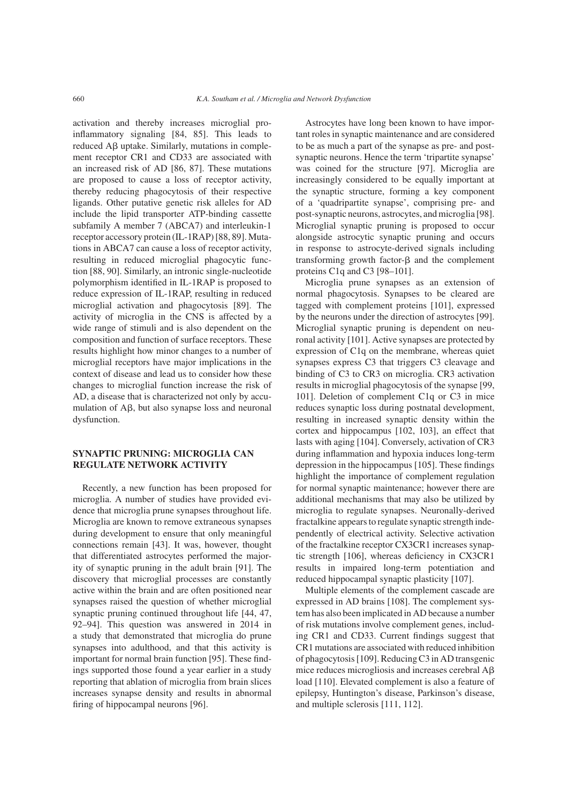activation and thereby increases microglial proinflammatory signaling [84, 85]. This leads to reduced A $\beta$  uptake. Similarly, mutations in complement receptor CR1 and CD33 are associated with an increased risk of AD [86, 87]. These mutations are proposed to cause a loss of receptor activity, thereby reducing phagocytosis of their respective ligands. Other putative genetic risk alleles for AD include the lipid transporter ATP-binding cassette subfamily A member 7 (ABCA7) and interleukin-1 receptor accessory protein (IL-1RAP) [88, 89]. Mutations in ABCA7 can cause a loss of receptor activity, resulting in reduced microglial phagocytic function [88, 90]. Similarly, an intronic single-nucleotide polymorphism identified in IL-1RAP is proposed to reduce expression of IL-1RAP, resulting in reduced microglial activation and phagocytosis [89]. The activity of microglia in the CNS is affected by a wide range of stimuli and is also dependent on the composition and function of surface receptors. These results highlight how minor changes to a number of microglial receptors have major implications in the context of disease and lead us to consider how these changes to microglial function increase the risk of AD, a disease that is characterized not only by accumulation of  $A\beta$ , but also synapse loss and neuronal dysfunction.

# **SYNAPTIC PRUNING: MICROGLIA CAN REGULATE NETWORK ACTIVITY**

Recently, a new function has been proposed for microglia. A number of studies have provided evidence that microglia prune synapses throughout life. Microglia are known to remove extraneous synapses during development to ensure that only meaningful connections remain [43]. It was, however, thought that differentiated astrocytes performed the majority of synaptic pruning in the adult brain [91]. The discovery that microglial processes are constantly active within the brain and are often positioned near synapses raised the question of whether microglial synaptic pruning continued throughout life [44, 47, 92–94]. This question was answered in 2014 in a study that demonstrated that microglia do prune synapses into adulthood, and that this activity is important for normal brain function [95]. These findings supported those found a year earlier in a study reporting that ablation of microglia from brain slices increases synapse density and results in abnormal firing of hippocampal neurons [96].

Astrocytes have long been known to have important roles in synaptic maintenance and are considered to be as much a part of the synapse as pre- and postsynaptic neurons. Hence the term 'tripartite synapse' was coined for the structure [97]. Microglia are increasingly considered to be equally important at the synaptic structure, forming a key component of a 'quadripartite synapse', comprising pre- and post-synaptic neurons, astrocytes, and microglia [98]. Microglial synaptic pruning is proposed to occur alongside astrocytic synaptic pruning and occurs in response to astrocyte-derived signals including transforming growth factor- $\beta$  and the complement proteins C1q and C3 [98–101].

Microglia prune synapses as an extension of normal phagocytosis. Synapses to be cleared are tagged with complement proteins [101], expressed by the neurons under the direction of astrocytes [99]. Microglial synaptic pruning is dependent on neuronal activity [101]. Active synapses are protected by expression of C1q on the membrane, whereas quiet synapses express C3 that triggers C3 cleavage and binding of C3 to CR3 on microglia. CR3 activation results in microglial phagocytosis of the synapse [99, 101]. Deletion of complement C1q or C3 in mice reduces synaptic loss during postnatal development, resulting in increased synaptic density within the cortex and hippocampus [102, 103], an effect that lasts with aging [104]. Conversely, activation of CR3 during inflammation and hypoxia induces long-term depression in the hippocampus [105]. These findings highlight the importance of complement regulation for normal synaptic maintenance; however there are additional mechanisms that may also be utilized by microglia to regulate synapses. Neuronally-derived fractalkine appears to regulate synaptic strength independently of electrical activity. Selective activation of the fractalkine receptor CX3CR1 increases synaptic strength [106], whereas deficiency in CX3CR1 results in impaired long-term potentiation and reduced hippocampal synaptic plasticity [107].

Multiple elements of the complement cascade are expressed in AD brains [108]. The complement system has also been implicated in AD because a number of risk mutations involve complement genes, including CR1 and CD33. Current findings suggest that CR1 mutations are associated with reduced inhibition of phagocytosis [109]. Reducing C3 in AD transgenic mice reduces microgliosis and increases cerebral  $A\beta$ load [110]. Elevated complement is also a feature of epilepsy, Huntington's disease, Parkinson's disease, and multiple sclerosis [111, 112].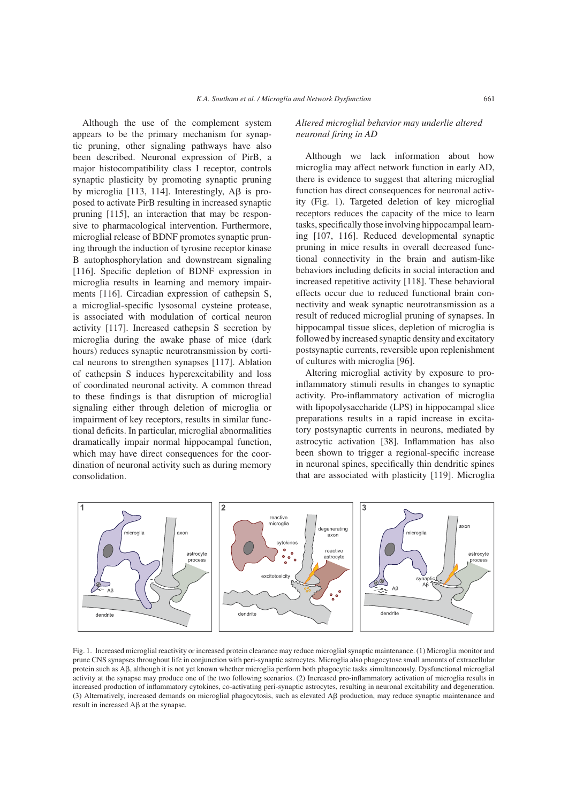Although the use of the complement system appears to be the primary mechanism for synaptic pruning, other signaling pathways have also been described. Neuronal expression of PirB, a major histocompatibility class I receptor, controls synaptic plasticity by promoting synaptic pruning by microglia [113, 114]. Interestingly,  $\text{AB}$  is proposed to activate PirB resulting in increased synaptic pruning [115], an interaction that may be responsive to pharmacological intervention. Furthermore, microglial release of BDNF promotes synaptic pruning through the induction of tyrosine receptor kinase B autophosphorylation and downstream signaling [116]. Specific depletion of BDNF expression in microglia results in learning and memory impairments [116]. Circadian expression of cathepsin S, a microglial-specific lysosomal cysteine protease, is associated with modulation of cortical neuron activity [117]. Increased cathepsin S secretion by microglia during the awake phase of mice (dark hours) reduces synaptic neurotransmission by cortical neurons to strengthen synapses [117]. Ablation of cathepsin S induces hyperexcitability and loss of coordinated neuronal activity. A common thread to these findings is that disruption of microglial signaling either through deletion of microglia or impairment of key receptors, results in similar functional deficits. In particular, microglial abnormalities dramatically impair normal hippocampal function, which may have direct consequences for the coordination of neuronal activity such as during memory consolidation.

# *Altered microglial behavior may underlie altered neuronal firing in AD*

Although we lack information about how microglia may affect network function in early AD, there is evidence to suggest that altering microglial function has direct consequences for neuronal activity (Fig. 1). Targeted deletion of key microglial receptors reduces the capacity of the mice to learn tasks, specifically those involving hippocampal learning [107, 116]. Reduced developmental synaptic pruning in mice results in overall decreased functional connectivity in the brain and autism-like behaviors including deficits in social interaction and increased repetitive activity [118]. These behavioral effects occur due to reduced functional brain connectivity and weak synaptic neurotransmission as a result of reduced microglial pruning of synapses. In hippocampal tissue slices, depletion of microglia is followed by increased synaptic density and excitatory postsynaptic currents, reversible upon replenishment of cultures with microglia [96].

Altering microglial activity by exposure to proinflammatory stimuli results in changes to synaptic activity. Pro-inflammatory activation of microglia with lipopolysaccharide (LPS) in hippocampal slice preparations results in a rapid increase in excitatory postsynaptic currents in neurons, mediated by astrocytic activation [38]. Inflammation has also been shown to trigger a regional-specific increase in neuronal spines, specifically thin dendritic spines that are associated with plasticity [119]. Microglia



Fig. 1. Increased microglial reactivity or increased protein clearance may reduce microglial synaptic maintenance. (1) Microglia monitor and prune CNS synapses throughout life in conjunction with peri-synaptic astrocytes. Microglia also phagocytose small amounts of extracellular protein such as AB, although it is not yet known whether microglia perform both phagocytic tasks simultaneously. Dysfunctional microglial activity at the synapse may produce one of the two following scenarios. (2) Increased pro-inflammatory activation of microglia results in increased production of inflammatory cytokines, co-activating peri-synaptic astrocytes, resulting in neuronal excitability and degeneration. (3) Alternatively, increased demands on microglial phagocytosis, such as elevated A $\beta$  production, may reduce synaptic maintenance and result in increased  $\text{A}\beta$  at the synapse.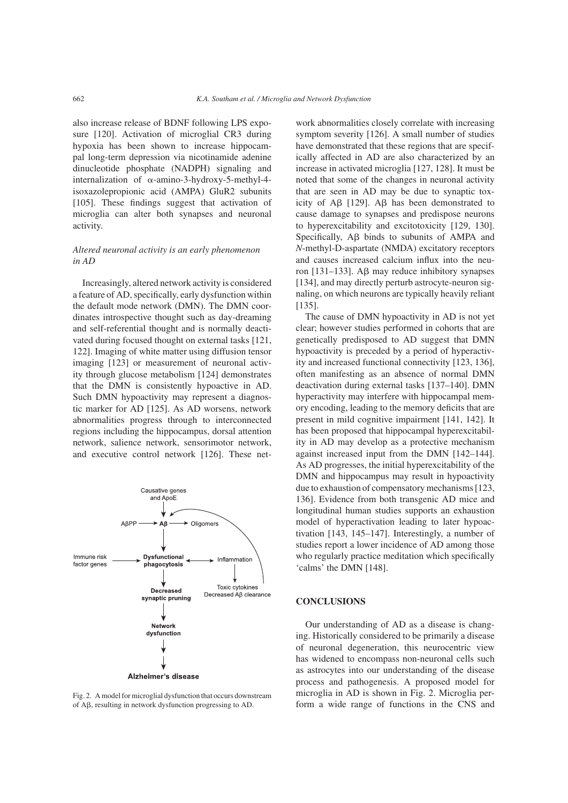also increase release of BDNF following LPS exposure [120]. Activation of microglial CR3 during hypoxia has been shown to increase hippocampal long-term depression via nicotinamide adenine dinucleotide phosphate (NADPH) signaling and internalization of  $\alpha$ -amino-3-hydroxy-5-methyl-4isoxazolepropionic acid (AMPA) GluR2 subunits [105]. These findings suggest that activation of microglia can alter both synapses and neuronal activity.

# *Altered neuronal activity is an early phenomenon in AD*

Increasingly, altered network activity is considered a feature of AD, specifically, early dysfunction within the default mode network (DMN). The DMN coordinates introspective thought such as day-dreaming and self-referential thought and is normally deactivated during focused thought on external tasks [121, 122]. Imaging of white matter using diffusion tensor imaging [123] or measurement of neuronal activity through glucose metabolism [124] demonstrates that the DMN is consistently hypoactive in AD. Such DMN hypoactivity may represent a diagnostic marker for AD [125]. As AD worsens, network abnormalities progress through to interconnected regions including the hippocampus, dorsal attention network, salience network, sensorimotor network, and executive control network [126]. These net-



Fig. 2. A model for microglial dysfunction that occurs downstream of A $\beta$ , resulting in network dysfunction progressing to AD.

work abnormalities closely correlate with increasing symptom severity [126]. A small number of studies have demonstrated that these regions that are specifically affected in AD are also characterized by an increase in activated microglia [127, 128]. It must be noted that some of the changes in neuronal activity that are seen in AD may be due to synaptic toxicity of A $\beta$  [129]. A $\beta$  has been demonstrated to cause damage to synapses and predispose neurons to hyperexcitability and excitotoxicity [129, 130]. Specifically,  $A\beta$  binds to subunits of AMPA and *N*-methyl-D-aspartate (NMDA) excitatory receptors and causes increased calcium influx into the neuron  $[131-133]$ . A $\beta$  may reduce inhibitory synapses [134], and may directly perturb astrocyte-neuron signaling, on which neurons are typically heavily reliant [135].

The cause of DMN hypoactivity in AD is not yet clear; however studies performed in cohorts that are genetically predisposed to AD suggest that DMN hypoactivity is preceded by a period of hyperactivity and increased functional connectivity [123, 136], often manifesting as an absence of normal DMN deactivation during external tasks [137–140]. DMN hyperactivity may interfere with hippocampal memory encoding, leading to the memory deficits that are present in mild cognitive impairment [141, 142]. It has been proposed that hippocampal hyperexcitability in AD may develop as a protective mechanism against increased input from the DMN [142–144]. As AD progresses, the initial hyperexcitability of the DMN and hippocampus may result in hypoactivity due to exhaustion of compensatory mechanisms [123, 136]. Evidence from both transgenic AD mice and longitudinal human studies supports an exhaustion model of hyperactivation leading to later hypoactivation [143, 145–147]. Interestingly, a number of studies report a lower incidence of AD among those who regularly practice meditation which specifically 'calms' the DMN [148].

#### **CONCLUSIONS**

Our understanding of AD as a disease is changing. Historically considered to be primarily a disease of neuronal degeneration, this neurocentric view has widened to encompass non-neuronal cells such as astrocytes into our understanding of the disease process and pathogenesis. A proposed model for microglia in AD is shown in Fig. 2. Microglia perform a wide range of functions in the CNS and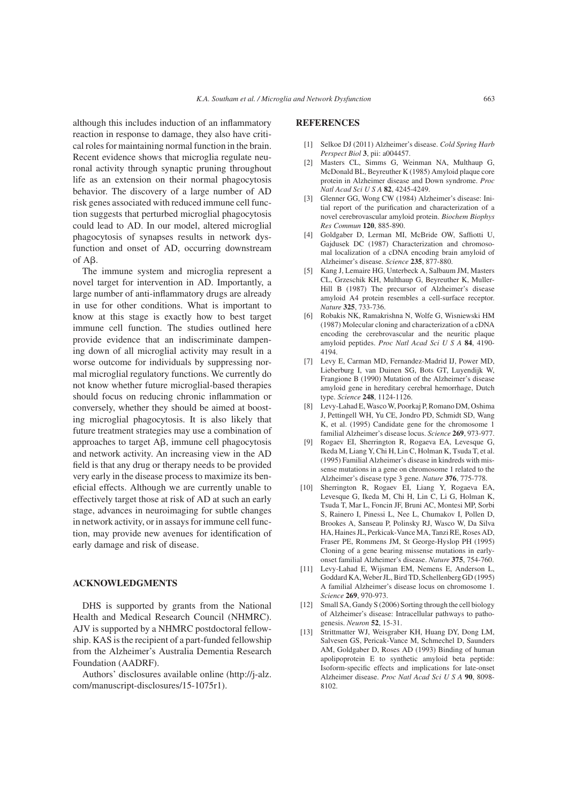although this includes induction of an inflammatory reaction in response to damage, they also have critical roles for maintaining normal function in the brain. Recent evidence shows that microglia regulate neuronal activity through synaptic pruning throughout life as an extension on their normal phagocytosis behavior. The discovery of a large number of AD risk genes associated with reduced immune cell function suggests that perturbed microglial phagocytosis could lead to AD. In our model, altered microglial phagocytosis of synapses results in network dysfunction and onset of AD, occurring downstream of  $A\beta$ .

The immune system and microglia represent a novel target for intervention in AD. Importantly, a large number of anti-inflammatory drugs are already in use for other conditions. What is important to know at this stage is exactly how to best target immune cell function. The studies outlined here provide evidence that an indiscriminate dampening down of all microglial activity may result in a worse outcome for individuals by suppressing normal microglial regulatory functions. We currently do not know whether future microglial-based therapies should focus on reducing chronic inflammation or conversely, whether they should be aimed at boosting microglial phagocytosis. It is also likely that future treatment strategies may use a combination of approaches to target  $A\beta$ , immune cell phagocytosis and network activity. An increasing view in the AD field is that any drug or therapy needs to be provided very early in the disease process to maximize its beneficial effects. Although we are currently unable to effectively target those at risk of AD at such an early stage, advances in neuroimaging for subtle changes in network activity, or in assays for immune cell function, may provide new avenues for identification of early damage and risk of disease.

### **ACKNOWLEDGMENTS**

DHS is supported by grants from the National Health and Medical Research Council (NHMRC). AJV is supported by a NHMRC postdoctoral fellowship. KAS is the recipient of a part-funded fellowship from the Alzheimer's Australia Dementia Research Foundation (AADRF).

Authors' disclosures available online (http://j-alz. com/manuscript-disclosures/15-1075r1).

# **REFERENCES**

- [1] Selkoe DJ (2011) Alzheimer's disease. *Cold Spring Harb Perspect Biol* **3**, pii: a004457.
- [2] Masters CL, Simms G, Weinman NA, Multhaup G, McDonald BL, Beyreuther K (1985) Amyloid plaque core protein in Alzheimer disease and Down syndrome. *Proc Natl Acad SciUSA* **82**, 4245-4249.
- [3] Glenner GG, Wong CW (1984) Alzheimer's disease: Initial report of the purification and characterization of a novel cerebrovascular amyloid protein. *Biochem Biophys Res Commun* **120**, 885-890.
- [4] Goldgaber D, Lerman MI, McBride OW, Saffiotti U, Gajdusek DC (1987) Characterization and chromosomal localization of a cDNA encoding brain amyloid of Alzheimer's disease. *Science* **235**, 877-880.
- [5] Kang J, Lemaire HG, Unterbeck A, Salbaum JM, Masters CL, Grzeschik KH, Multhaup G, Beyreuther K, Muller-Hill B (1987) The precursor of Alzheimer's disease amyloid A4 protein resembles a cell-surface receptor. *Nature* **325**, 733-736.
- [6] Robakis NK, Ramakrishna N, Wolfe G, Wisniewski HM (1987) Molecular cloning and characterization of a cDNA encoding the cerebrovascular and the neuritic plaque amyloid peptides. *Proc Natl Acad Sci U S A* **84**, 4190- 4194.
- [7] Levy E, Carman MD, Fernandez-Madrid IJ, Power MD, Lieberburg I, van Duinen SG, Bots GT, Luyendijk W, Frangione B (1990) Mutation of the Alzheimer's disease amyloid gene in hereditary cerebral hemorrhage, Dutch type. *Science* **248**, 1124-1126.
- [8] Levy-Lahad E,WascoW, Poorkaj P, Romano DM, Oshima J, Pettingell WH, Yu CE, Jondro PD, Schmidt SD, Wang K, et al. (1995) Candidate gene for the chromosome 1 familial Alzheimer's disease locus. *Science* **269**, 973-977.
- [9] Rogaev EI, Sherrington R, Rogaeva EA, Levesque G, Ikeda M, Liang Y, Chi H, Lin C, Holman K, Tsuda T, et al. (1995) Familial Alzheimer's disease in kindreds with missense mutations in a gene on chromosome 1 related to the Alzheimer's disease type 3 gene. *Nature* **376**, 775-778.
- [10] Sherrington R, Rogaev EI, Liang Y, Rogaeva EA, Levesque G, Ikeda M, Chi H, Lin C, Li G, Holman K, Tsuda T, Mar L, Foncin JF, Bruni AC, Montesi MP, Sorbi S, Rainero I, Pinessi L, Nee L, Chumakov I, Pollen D, Brookes A, Sanseau P, Polinsky RJ, Wasco W, Da Silva HA, Haines JL, Perkicak-Vance MA, Tanzi RE, Roses AD, Fraser PE, Rommens JM, St George-Hyslop PH (1995) Cloning of a gene bearing missense mutations in earlyonset familial Alzheimer's disease. *Nature* **375**, 754-760.
- [11] Levy-Lahad E, Wijsman EM, Nemens E, Anderson L, Goddard KA,Weber JL, Bird TD, Schellenberg GD (1995) A familial Alzheimer's disease locus on chromosome 1. *Science* **269**, 970-973.
- [12] Small SA, Gandy S (2006) Sorting through the cell biology of Alzheimer's disease: Intracellular pathways to pathogenesis. *Neuron* **52**, 15-31.
- [13] Strittmatter WJ, Weisgraber KH, Huang DY, Dong LM, Salvesen GS, Pericak-Vance M, Schmechel D, Saunders AM, Goldgaber D, Roses AD (1993) Binding of human apolipoprotein E to synthetic amyloid beta peptide: Isoform-specific effects and implications for late-onset Alzheimer disease. *Proc Natl Acad Sci U S A* **90**, 8098- 8102.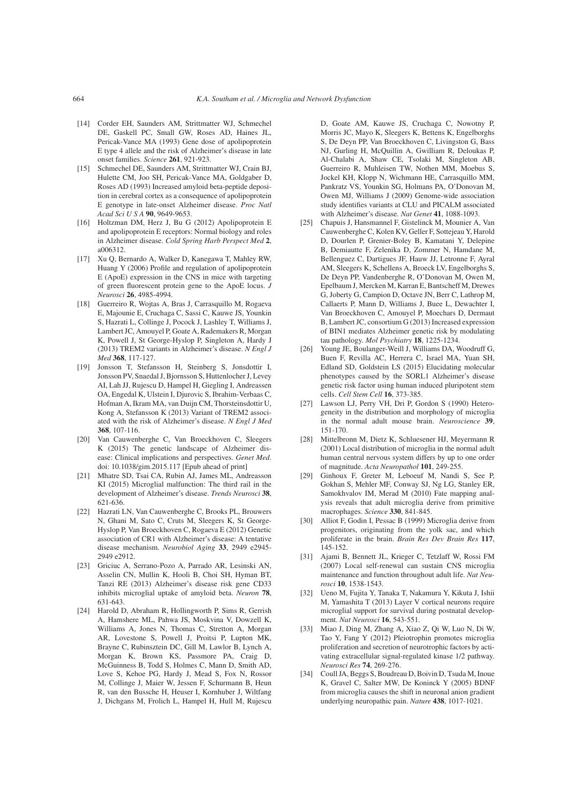- [14] Corder EH, Saunders AM, Strittmatter WJ, Schmechel DE, Gaskell PC, Small GW, Roses AD, Haines JL, Pericak-Vance MA (1993) Gene dose of apolipoprotein E type 4 allele and the risk of Alzheimer's disease in late onset families. *Science* **261**, 921-923.
- [15] Schmechel DE, Saunders AM, Strittmatter WJ, Crain BJ, Hulette CM, Joo SH, Pericak-Vance MA, Goldgaber D, Roses AD (1993) Increased amyloid beta-peptide deposition in cerebral cortex as a consequence of apolipoprotein E genotype in late-onset Alzheimer disease. *Proc Natl Acad SciUSA* **90**, 9649-9653.
- [16] Holtzman DM, Herz J, Bu G (2012) Apolipoprotein E and apolipoprotein E receptors: Normal biology and roles in Alzheimer disease. *Cold Spring Harb Perspect Med* **2**, a006312.
- [17] Xu Q, Bernardo A, Walker D, Kanegawa T, Mahley RW, Huang Y (2006) Profile and regulation of apolipoprotein E (ApoE) expression in the CNS in mice with targeting of green fluorescent protein gene to the ApoE locus. *J Neurosci* **26**, 4985-4994.
- [18] Guerreiro R, Wojtas A, Bras J, Carrasquillo M, Rogaeva E, Majounie E, Cruchaga C, Sassi C, Kauwe JS, Younkin S, Hazrati L, Collinge J, Pocock J, Lashley T, Williams J, Lambert JC, Amouyel P, Goate A, Rademakers R, Morgan K, Powell J, St George-Hyslop P, Singleton A, Hardy J (2013) TREM2 variants in Alzheimer's disease. *N Engl J Med* **368**, 117-127.
- [19] Jonsson T, Stefansson H, Steinberg S, Jonsdottir I, Jonsson PV, Snaedal J, Bjornsson S, Huttenlocher J, Levey AI, Lah JJ, Rujescu D, Hampel H, Giegling I, Andreassen OA, Engedal K, Ulstein I, Djurovic S, Ibrahim-Verbaas C, Hofman A, Ikram MA, van Duijn CM, Thorsteinsdottir U, Kong A, Stefansson K (2013) Variant of TREM2 associated with the risk of Alzheimer's disease. *N Engl J Med* **368**, 107-116.
- [20] Van Cauwenberghe C, Van Broeckhoven C, Sleegers K (2015) The genetic landscape of Alzheimer disease: Clinical implications and perspectives. *Genet Med*. doi: 10.1038/gim.2015.117 [Epub ahead of print]
- [21] Mhatre SD, Tsai CA, Rubin AJ, James ML, Andreasson KI (2015) Microglial malfunction: The third rail in the development of Alzheimer's disease. *Trends Neurosci* **38**, 621-636.
- [22] Hazrati LN, Van Cauwenberghe C, Brooks PL, Brouwers N, Ghani M, Sato C, Cruts M, Sleegers K, St George-Hyslop P, Van Broeckhoven C, Rogaeva E (2012) Genetic association of CR1 with Alzheimer's disease: A tentative disease mechanism. *Neurobiol Aging* **33**, 2949 e2945- 2949 e2912.
- [23] Griciuc A, Serrano-Pozo A, Parrado AR, Lesinski AN, Asselin CN, Mullin K, Hooli B, Choi SH, Hyman BT, Tanzi RE (2013) Alzheimer's disease risk gene CD33 inhibits microglial uptake of amyloid beta. *Neuron* **78**, 631-643.
- [24] Harold D, Abraham R, Hollingworth P, Sims R, Gerrish A, Hamshere ML, Pahwa JS, Moskvina V, Dowzell K, Williams A, Jones N, Thomas C, Stretton A, Morgan AR, Lovestone S, Powell J, Proitsi P, Lupton MK, Brayne C, Rubinsztein DC, Gill M, Lawlor B, Lynch A, Morgan K, Brown KS, Passmore PA, Craig D, McGuinness B, Todd S, Holmes C, Mann D, Smith AD, Love S, Kehoe PG, Hardy J, Mead S, Fox N, Rossor M, Collinge J, Maier W, Jessen F, Schurmann B, Heun R, van den Bussche H, Heuser I, Kornhuber J, Wiltfang J, Dichgans M, Frolich L, Hampel H, Hull M, Rujescu

D, Goate AM, Kauwe JS, Cruchaga C, Nowotny P, Morris JC, Mayo K, Sleegers K, Bettens K, Engelborghs S, De Deyn PP, Van Broeckhoven C, Livingston G, Bass NJ, Gurling H, McQuillin A, Gwilliam R, Deloukas P, Al-Chalabi A, Shaw CE, Tsolaki M, Singleton AB, Guerreiro R, Muhleisen TW, Nothen MM, Moebus S, Jockel KH, Klopp N, Wichmann HE, Carrasquillo MM, Pankratz VS, Younkin SG, Holmans PA, O'Donovan M, Owen MJ, Williams J (2009) Genome-wide association study identifies variants at CLU and PICALM associated with Alzheimer's disease. *Nat Genet* **41**, 1088-1093.

- [25] Chapuis J, Hansmannel F, Gistelinck M, Mounier A, Van Cauwenberghe C, Kolen KV, Geller F, Sottejeau Y, Harold D, Dourlen P, Grenier-Boley B, Kamatani Y, Delepine B, Demiautte F, Zelenika D, Zommer N, Hamdane M, Bellenguez C, Dartigues JF, Hauw JJ, Letronne F, Ayral AM, Sleegers K, Schellens A, Broeck LV, Engelborghs S, De Deyn PP, Vandenberghe R, O'Donovan M, Owen M, Epelbaum J, Mercken M, Karran E, Bantscheff M, Drewes G, Joberty G, Campion D, Octave JN, Berr C, Lathrop M, Callaerts P, Mann D, Williams J, Buee L, Dewachter I, Van Broeckhoven C, Amouyel P, Moechars D, Dermaut B, Lambert JC, consortium G (2013) Increased expression of BIN1 mediates Alzheimer genetic risk by modulating tau pathology. *Mol Psychiatry* **18**, 1225-1234.
- [26] Young JE, Boulanger-Weill J, Williams DA, Woodruff G, Buen F, Revilla AC, Herrera C, Israel MA, Yuan SH, Edland SD, Goldstein LS (2015) Elucidating molecular phenotypes caused by the SORL1 Alzheimer's disease genetic risk factor using human induced pluripotent stem cells. *Cell Stem Cell* **16**, 373-385.
- [27] Lawson LJ, Perry VH, Dri P, Gordon S (1990) Heterogeneity in the distribution and morphology of microglia in the normal adult mouse brain. *Neuroscience* **39**, 151-170.
- [28] Mittelbronn M, Dietz K, Schluesener HJ, Meyermann R (2001) Local distribution of microglia in the normal adult human central nervous system differs by up to one order of magnitude. *Acta Neuropathol* **101**, 249-255.
- [29] Ginhoux F, Greter M, Leboeuf M, Nandi S, See P, Gokhan S, Mehler MF, Conway SJ, Ng LG, Stanley ER, Samokhvalov IM, Merad M (2010) Fate mapping analysis reveals that adult microglia derive from primitive macrophages. *Science* **330**, 841-845.
- [30] Alliot F, Godin I, Pessac B (1999) Microglia derive from progenitors, originating from the yolk sac, and which proliferate in the brain. *Brain Res Dev Brain Res* **117**, 145-152.
- [31] Ajami B, Bennett JL, Krieger C, Tetzlaff W, Rossi FM (2007) Local self-renewal can sustain CNS microglia maintenance and function throughout adult life. *Nat Neurosci* **10**, 1538-1543.
- [32] Ueno M, Fujita Y, Tanaka T, Nakamura Y, Kikuta J, Ishii M, Yamashita T (2013) Layer V cortical neurons require microglial support for survival during postnatal development. *Nat Neurosci* **16**, 543-551.
- [33] Miao J, Ding M, Zhang A, Xiao Z, Qi W, Luo N, Di W, Tao Y, Fang Y (2012) Pleiotrophin promotes microglia proliferation and secretion of neurotrophic factors by activating extracellular signal-regulated kinase 1/2 pathway. *Neurosci Res* **74**, 269-276.
- [34] Coull JA, Beggs S, Boudreau D, Boivin D, Tsuda M, Inoue K, Gravel C, Salter MW, De Koninck Y (2005) BDNF from microglia causes the shift in neuronal anion gradient underlying neuropathic pain. *Nature* **438**, 1017-1021.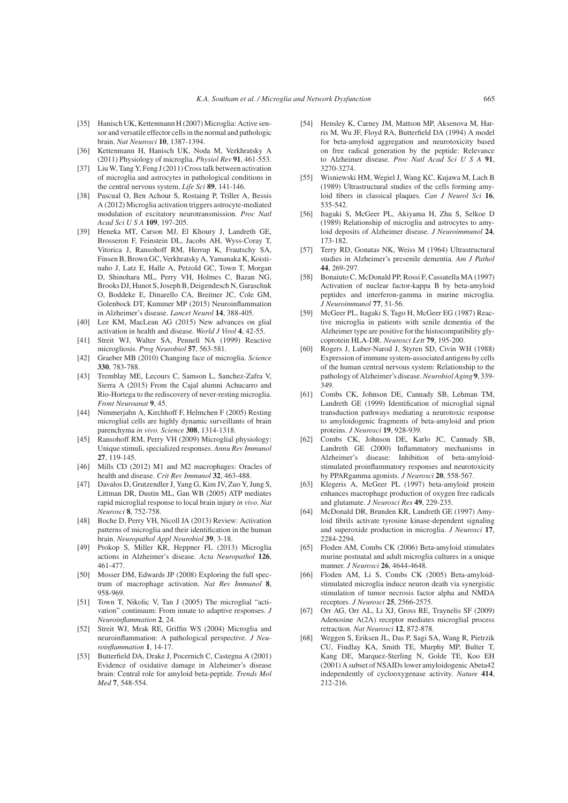- [35] Hanisch UK, Kettenmann H (2007) Microglia: Active sensor and versatile effector cells in the normal and pathologic brain. *Nat Neurosci* **10**, 1387-1394.
- [36] Kettenmann H, Hanisch UK, Noda M, Verkhratsky A (2011) Physiology of microglia. *Physiol Rev* **91**, 461-553.
- [37] LiuW, Tang Y, Feng J (2011) Cross talk between activation of microglia and astrocytes in pathological conditions in the central nervous system. *Life Sci* **89**, 141-146.
- [38] Pascual O, Ben Achour S, Rostaing P, Triller A, Bessis A (2012) Microglia activation triggers astrocyte-mediated modulation of excitatory neurotransmission. *Proc Natl Acad SciUSA* **109**, 197-205.
- [39] Heneka MT, Carson MJ, El Khoury J, Landreth GE, Brosseron F, Feinstein DL, Jacobs AH, Wyss-Coray T, Vitorica J, Ransohoff RM, Herrup K, Frautschy SA, Finsen B, Brown GC, Verkhratsky A, Yamanaka K, Koistinaho J, Latz E, Halle A, Petzold GC, Town T, Morgan D, Shinohara ML, Perry VH, Holmes C, Bazan NG, Brooks DJ, Hunot S, Joseph B, Deigendesch N, Garaschuk O, Boddeke E, Dinarello CA, Breitner JC, Cole GM, Golenbock DT, Kummer MP (2015) Neuroinflammation in Alzheimer's disease. *Lancet Neurol* **14**, 388-405.
- [40] Lee KM, MacLean AG (2015) New advances on glial activation in health and disease. *World J Virol* **4**, 42-55.
- [41] Streit WJ, Walter SA, Pennell NA (1999) Reactive microgliosis. *Prog Neurobiol* **57**, 563-581.
- [42] Graeber MB (2010) Changing face of microglia. *Science* **330**, 783-788.
- [43] Tremblay ME, Lecours C, Samson L, Sanchez-Zafra V, Sierra A (2015) From the Cajal alumni Achucarro and Rio-Hortega to the rediscovery of never-resting microglia. *Front Neuroanat* **9**, 45.
- [44] Nimmerjahn A, Kirchhoff F, Helmchen F (2005) Resting microglial cells are highly dynamic surveillants of brain parenchyma *in vivo*. *Science* **308**, 1314-1318.
- [45] Ransohoff RM, Perry VH (2009) Microglial physiology: Unique stimuli, specialized responses. *Annu Rev Immunol* **27**, 119-145.
- [46] Mills CD (2012) M1 and M2 macrophages: Oracles of health and disease. *Crit Rev Immunol* **32**, 463-488.
- [47] Davalos D, Grutzendler J, Yang G, Kim JV, Zuo Y, Jung S, Littman DR, Dustin ML, Gan WB (2005) ATP mediates rapid microglial response to local brain injury *in vivo*. *Nat Neurosci* **8**, 752-758.
- [48] Boche D, Perry VH, Nicoll JA (2013) Review: Activation patterns of microglia and their identification in the human brain. *Neuropathol Appl Neurobiol* **39**, 3-18.
- [49] Prokop S, Miller KR, Heppner FL (2013) Microglia actions in Alzheimer's disease. *Acta Neuropathol* **126**, 461-477.
- [50] Mosser DM, Edwards JP (2008) Exploring the full spectrum of macrophage activation. *Nat Rev Immunol* **8**, 958-969.
- [51] Town T, Nikolic V, Tan J (2005) The microglial "activation" continuum: From innate to adaptive responses. *J Neuroinflammation* **2**, 24.
- [52] Streit WJ, Mrak RE, Griffin WS (2004) Microglia and neuroinflammation: A pathological perspective. *J Neuroinflammation* **1**, 14-17.
- [53] Butterfield DA, Drake J, Pocernich C, Castegna A (2001) Evidence of oxidative damage in Alzheimer's disease brain: Central role for amyloid beta-peptide. *Trends Mol Med* **7**, 548-554.
- [54] Hensley K, Carney JM, Mattson MP, Aksenova M, Harris M, Wu JF, Floyd RA, Butterfield DA (1994) A model for beta-amyloid aggregation and neurotoxicity based on free radical generation by the peptide: Relevance to Alzheimer disease. *Proc Natl Acad Sci U S A* **91**, 3270-3274.
- [55] Wisniewski HM, Wegiel J, Wang KC, Kujawa M, Lach B (1989) Ultrastructural studies of the cells forming amyloid fibers in classical plaques. *Can J Neurol Sci* **16**, 535-542.
- [56] Itagaki S, McGeer PL, Akiyama H, Zhu S, Selkoe D (1989) Relationship of microglia and astrocytes to amyloid deposits of Alzheimer disease. *J Neuroimmunol* **24**, 173-182.
- [57] Terry RD, Gonatas NK, Weiss M (1964) Ultrastructural studies in Alzheimer's presenile dementia. *Am J Pathol* **44**, 269-297.
- [58] Bonaiuto C, McDonald PP, Rossi F, Cassatella MA (1997) Activation of nuclear factor-kappa B by beta-amyloid peptides and interferon-gamma in murine microglia. *J Neuroimmunol* **77**, 51-56.
- [59] McGeer PL, Itagaki S, Tago H, McGeer EG (1987) Reactive microglia in patients with senile dementia of the Alzheimer type are positive for the histocompatibility glycoprotein HLA-DR. *Neurosci Lett* **79**, 195-200.
- [60] Rogers J, Luber-Narod J, Styren SD, Civin WH (1988) Expression of immune system-associated antigens by cells of the human central nervous system: Relationship to the pathology of Alzheimer's disease.*Neurobiol Aging* **9**, 339- 349.
- [61] Combs CK, Johnson DE, Cannady SB, Lehman TM, Landreth GE (1999) Identification of microglial signal transduction pathways mediating a neurotoxic response to amyloidogenic fragments of beta-amyloid and prion proteins. *J Neurosci* **19**, 928-939.
- [62] Combs CK, Johnson DE, Karlo JC, Cannady SB, Landreth GE (2000) Inflammatory mechanisms in Alzheimer's disease: Inhibition of beta-amyloidstimulated proinflammatory responses and neurotoxicity by PPARgamma agonists. *J Neurosci* **20**, 558-567.
- [63] Klegeris A, McGeer PL (1997) beta-amyloid protein enhances macrophage production of oxygen free radicals and glutamate. *J Neurosci Res* **49**, 229-235.
- [64] McDonald DR, Brunden KR, Landreth GE (1997) Amyloid fibrils activate tyrosine kinase-dependent signaling and superoxide production in microglia. *J Neurosci* **17**, 2284-2294.
- [65] Floden AM, Combs CK (2006) Beta-amyloid stimulates murine postnatal and adult microglia cultures in a unique manner. *J Neurosci* **26**, 4644-4648.
- [66] Floden AM, Li S, Combs CK (2005) Beta-amyloidstimulated microglia induce neuron death via synergistic stimulation of tumor necrosis factor alpha and NMDA receptors. *J Neurosci* **25**, 2566-2575.
- [67] Orr AG, Orr AL, Li XJ, Gross RE, Traynelis SF (2009) Adenosine A(2A) receptor mediates microglial process retraction. *Nat Neurosci* **12**, 872-878.
- [68] Weggen S, Eriksen JL, Das P, Sagi SA, Wang R, Pietrzik CU, Findlay KA, Smith TE, Murphy MP, Bulter T, Kang DE, Marquez-Sterling N, Golde TE, Koo EH (2001) A subset of NSAIDs lower amyloidogenic Abeta42 independently of cyclooxygenase activity. *Nature* **414**, 212-216.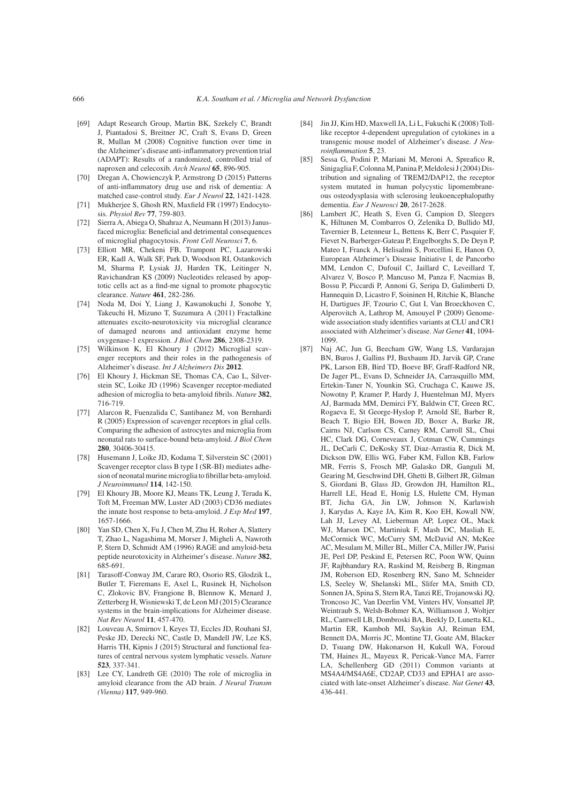- [69] Adapt Research Group, Martin BK, Szekely C, Brandt J, Piantadosi S, Breitner JC, Craft S, Evans D, Green R, Mullan M (2008) Cognitive function over time in the Alzheimer's disease anti-inflammatory prevention trial (ADAPT): Results of a randomized, controlled trial of naproxen and celecoxib. *Arch Neurol* **65**, 896-905.
- [70] Dregan A, Chowienczyk P, Armstrong D (2015) Patterns of anti-inflammatory drug use and risk of dementia: A matched case-control study. *Eur J Neurol* **22**, 1421-1428.
- [71] Mukherjee S, Ghosh RN, Maxfield FR (1997) Endocytosis. *Physiol Rev* **77**, 759-803.
- [72] Sierra A, Abiega O, Shahraz A, Neumann H (2013) Janusfaced microglia: Beneficial and detrimental consequences of microglial phagocytosis. *Front Cell Neurosci* **7**, 6.
- [73] Elliott MR, Chekeni FB, Trampont PC, Lazarowski ER, Kadl A, Walk SF, Park D, Woodson RI, Ostankovich M, Sharma P, Lysiak JJ, Harden TK, Leitinger N, Ravichandran KS (2009) Nucleotides released by apoptotic cells act as a find-me signal to promote phagocytic clearance. *Nature* **461**, 282-286.
- [74] Noda M, Doi Y, Liang J, Kawanokuchi J, Sonobe Y, Takeuchi H, Mizuno T, Suzumura A (2011) Fractalkine attenuates excito-neurotoxicity via microglial clearance of damaged neurons and antioxidant enzyme heme oxygenase-1 expression. *J Biol Chem* **286**, 2308-2319.
- [75] Wilkinson K, El Khoury J (2012) Microglial scavenger receptors and their roles in the pathogenesis of Alzheimer's disease. *Int J Alzheimers Dis* **2012**.
- [76] El Khoury J, Hickman SE, Thomas CA, Cao L, Silverstein SC, Loike JD (1996) Scavenger receptor-mediated adhesion of microglia to beta-amyloid fibrils. *Nature* **382**, 716-719.
- [77] Alarcon R, Fuenzalida C, Santibanez M, von Bernhardi R (2005) Expression of scavenger receptors in glial cells. Comparing the adhesion of astrocytes and microglia from neonatal rats to surface-bound beta-amyloid. *J Biol Chem* **280**, 30406-30415.
- [78] Husemann J, Loike JD, Kodama T, Silverstein SC (2001) Scavenger receptor class B type I (SR-BI) mediates adhesion of neonatal murine microglia to fibrillar beta-amyloid. *J Neuroimmunol* **114**, 142-150.
- [79] El Khoury JB, Moore KJ, Means TK, Leung J, Terada K, Toft M, Freeman MW, Luster AD (2003) CD36 mediates the innate host response to beta-amyloid. *J Exp Med* **197**, 1657-1666.
- [80] Yan SD, Chen X, Fu J, Chen M, Zhu H, Roher A, Slattery T, Zhao L, Nagashima M, Morser J, Migheli A, Nawroth P, Stern D, Schmidt AM (1996) RAGE and amyloid-beta peptide neurotoxicity in Alzheimer's disease. *Nature* **382**, 685-691.
- [81] Tarasoff-Conway JM, Carare RO, Osorio RS, Glodzik L, Butler T, Fieremans E, Axel L, Rusinek H, Nicholson C, Zlokovic BV, Frangione B, Blennow K, Menard J, Zetterberg H, Wisniewski T, de Leon MJ (2015) Clearance systems in the brain-implications for Alzheimer disease. *Nat Rev Neurol* **11**, 457-470.
- [82] Louveau A, Smirnov I, Keyes TJ, Eccles JD, Rouhani SJ, Peske JD, Derecki NC, Castle D, Mandell JW, Lee KS, Harris TH, Kipnis J (2015) Structural and functional features of central nervous system lymphatic vessels. *Nature* **523**, 337-341.
- [83] Lee CY, Landreth GE (2010) The role of microglia in amyloid clearance from the AD brain. *J Neural Transm (Vienna)* **117**, 949-960.
- [84] Jin JJ, Kim HD, Maxwell JA, Li L, Fukuchi K (2008) Tolllike receptor 4-dependent upregulation of cytokines in a transgenic mouse model of Alzheimer's disease. *J Neuroinflammation* **5**, 23.
- [85] Sessa G, Podini P, Mariani M, Meroni A, Spreafico R, Sinigaglia F, Colonna M, Panina P, Meldolesi J (2004) Distribution and signaling of TREM2/DAP12, the receptor system mutated in human polycystic lipomembraneous osteodysplasia with sclerosing leukoencephalopathy dementia. *Eur J Neurosci* **20**, 2617-2628.
- [86] Lambert JC, Heath S, Even G, Campion D, Sleegers K, Hiltunen M, Combarros O, Zelenika D, Bullido MJ, Tavernier B, Letenneur L, Bettens K, Berr C, Pasquier F, Fievet N, Barberger-Gateau P, Engelborghs S, De Deyn P, Mateo I, Franck A, Helisalmi S, Porcellini E, Hanon O, European Alzheimer's Disease Initiative I, de Pancorbo MM, Lendon C, Dufouil C, Jaillard C, Leveillard T, Alvarez V, Bosco P, Mancuso M, Panza F, Nacmias B, Bossu P, Piccardi P, Annoni G, Seripa D, Galimberti D, Hannequin D, Licastro F, Soininen H, Ritchie K, Blanche H, Dartigues JF, Tzourio C, Gut I, Van Broeckhoven C, Alperovitch A, Lathrop M, Amouyel P (2009) Genomewide association study identifies variants at CLU and CR1 associated with Alzheimer's disease. *Nat Genet* **41**, 1094- 1099.
- [87] Naj AC, Jun G, Beecham GW, Wang LS, Vardarajan BN, Buros J, Gallins PJ, Buxbaum JD, Jarvik GP, Crane PK, Larson EB, Bird TD, Boeve BF, Graff-Radford NR, De Jager PL, Evans D, Schneider JA, Carrasquillo MM, Ertekin-Taner N, Younkin SG, Cruchaga C, Kauwe JS, Nowotny P, Kramer P, Hardy J, Huentelman MJ, Myers AJ, Barmada MM, Demirci FY, Baldwin CT, Green RC, Rogaeva E, St George-Hyslop P, Arnold SE, Barber R, Beach T, Bigio EH, Bowen JD, Boxer A, Burke JR, Cairns NJ, Carlson CS, Carney RM, Carroll SL, Chui HC, Clark DG, Corneveaux J, Cotman CW, Cummings JL, DeCarli C, DeKosky ST, Diaz-Arrastia R, Dick M, Dickson DW, Ellis WG, Faber KM, Fallon KB, Farlow MR, Ferris S, Frosch MP, Galasko DR, Ganguli M, Gearing M, Geschwind DH, Ghetti B, Gilbert JR, Gilman S, Giordani B, Glass JD, Growdon JH, Hamilton RL, Harrell LE, Head E, Honig LS, Hulette CM, Hyman BT, Jicha GA, Jin LW, Johnson N, Karlawish J, Karydas A, Kaye JA, Kim R, Koo EH, Kowall NW, Lah JJ, Levey AI, Lieberman AP, Lopez OL, Mack WJ, Marson DC, Martiniuk F, Mash DC, Masliah E, McCormick WC, McCurry SM, McDavid AN, McKee AC, Mesulam M, Miller BL, Miller CA, Miller JW, Parisi JE, Perl DP, Peskind E, Petersen RC, Poon WW, Quinn JF, Rajbhandary RA, Raskind M, Reisberg B, Ringman JM, Roberson ED, Rosenberg RN, Sano M, Schneider LS, Seeley W, Shelanski ML, Slifer MA, Smith CD, Sonnen JA, Spina S, Stern RA, Tanzi RE, Trojanowski JQ, Troncoso JC, Van Deerlin VM, Vinters HV, Vonsattel JP, Weintraub S, Welsh-Bohmer KA, Williamson J, Woltjer RL, Cantwell LB, Dombroski BA, Beekly D, Lunetta KL, Martin ER, Kamboh MI, Saykin AJ, Reiman EM, Bennett DA, Morris JC, Montine TJ, Goate AM, Blacker D, Tsuang DW, Hakonarson H, Kukull WA, Foroud TM, Haines JL, Mayeux R, Pericak-Vance MA, Farrer LA, Schellenberg GD (2011) Common variants at MS4A4/MS4A6E, CD2AP, CD33 and EPHA1 are associated with late-onset Alzheimer's disease. *Nat Genet* **43**, 436-441.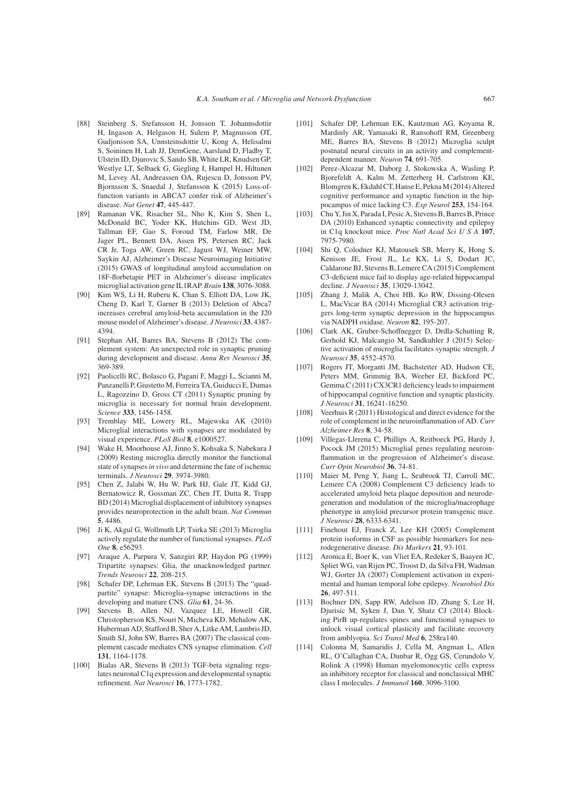- [88] Steinberg S, Stefansson H, Jonsson T, Johannsdottir H, Ingason A, Helgason H, Sulem P, Magnusson OT, Gudjonsson SA, Unnsteinsdottir U, Kong A, Helisalmi S, Soininen H, Lah JJ, DemGene, Aarsland D, Fladby T, Ulstein ID, Djurovic S, Sando SB, White LR, Knudsen GP, Westlye LT, Selbaek G, Giegling I, Hampel H, Hiltunen M, Levey AI, Andreassen OA, Rujescu D, Jonsson PV, Bjornsson S, Snaedal J, Stefansson K (2015) Loss-offunction variants in ABCA7 confer risk of Alzheimer's disease. *Nat Genet* **47**, 445-447.
- [89] Ramanan VK, Risacher SL, Nho K, Kim S, Shen L, McDonald BC, Yoder KK, Hutchins GD, West JD, Tallman EF, Gao S, Foroud TM, Farlow MR, De Jager PL, Bennett DA, Aisen PS, Petersen RC, Jack CR Jr, Toga AW, Green RC, Jagust WJ, Weiner MW, Saykin AJ, Alzheimer's Disease Neuroimaging Initiative (2015) GWAS of longitudinal amyloid accumulation on 18F-florbetapir PET in Alzheimer's disease implicates microglial activation gene IL1RAP.*Brain* **138**, 3076-3088.
- [90] Kim WS, Li H, Ruberu K, Chan S, Elliott DA, Low JK, Cheng D, Karl T, Garner B (2013) Deletion of Abca7 increases cerebral amyloid-beta accumulation in the J20 mouse model of Alzheimer's disease. *J Neurosci* **33**, 4387- 4394.
- [91] Stephan AH, Barres BA, Stevens B (2012) The complement system: An unexpected role in synaptic pruning during development and disease. *Annu Rev Neurosci* **35**, 369-389.
- [92] Paolicelli RC, Bolasco G, Pagani F, Maggi L, Scianni M, Panzanelli P, Giustetto M, Ferreira TA, Guiducci E, Dumas L, Ragozzino D, Gross CT (2011) Synaptic pruning by microglia is necessary for normal brain development. *Science* **333**, 1456-1458.
- [93] Tremblay ME, Lowery RL, Majewska AK (2010) Microglial interactions with synapses are modulated by visual experience. *PLoS Biol* **8**, e1000527.
- [94] Wake H, Moorhouse AJ, Jinno S, Kohsaka S, Nabekura J (2009) Resting microglia directly monitor the functional state of synapses*in vivo* and determine the fate of ischemic terminals. *J Neurosci* **29**, 3974-3980.
- [95] Chen Z, Jalabi W, Hu W, Park HJ, Gale JT, Kidd GJ, Bernatowicz R, Gossman ZC, Chen JT, Dutta R, Trapp BD (2014) Microglial displacement of inhibitory synapses provides neuroprotection in the adult brain. *Nat Commun* **5**, 4486.
- [96] Ji K, Akgul G, Wollmuth LP, Tsirka SE (2013) Microglia actively regulate the number of functional synapses. *PLoS One* **8**, e56293.
- [97] Araque A, Parpura V, Sanzgiri RP, Haydon PG (1999) Tripartite synapses: Glia, the unacknowledged partner. *Trends Neurosci* **22**, 208-215.
- [98] Schafer DP, Lehrman EK, Stevens B (2013) The "quadpartite" synapse: Microglia-synapse interactions in the developing and mature CNS. *Glia* **61**, 24-36.
- [99] Stevens B, Allen NJ, Vazquez LE, Howell GR, Christopherson KS, Nouri N, Micheva KD, Mehalow AK, Huberman AD, Stafford B, Sher A, Litke AM, Lambris JD, Smith SJ, John SW, Barres BA (2007) The classical complement cascade mediates CNS synapse elimination. *Cell* **131**, 1164-1178.
- [100] Bialas AR, Stevens B (2013) TGF-beta signaling regulates neuronal C1q expression and developmental synaptic refinement. *Nat Neurosci* **16**, 1773-1782.
- [101] Schafer DP, Lehrman EK, Kautzman AG, Koyama R, Mardinly AR, Yamasaki R, Ransohoff RM, Greenberg ME, Barres BA, Stevens B (2012) Microglia sculpt postnatal neural circuits in an activity and complementdependent manner. *Neuron* **74**, 691-705.
- [102] Perez-Alcazar M, Daborg J, Stokowska A, Wasling P, Bjorefeldt A, Kalm M, Zetterberg H, Carlstrom KE, Blomgren K, Ekdahl CT, Hanse E, PeknaM (2014) Altered cognitive performance and synaptic function in the hippocampus of mice lacking C3. *Exp Neurol* **253**, 154-164.
- [103] Chu Y, Jin X, Parada I, Pesic A, Stevens B, Barres B, Prince DA (2010) Enhanced synaptic connectivity and epilepsy in C1q knockout mice. *Proc Natl Acad Sci U S A* **107**, 7975-7980.
- [104] Shi Q, Colodner KJ, Matousek SB, Merry K, Hong S, Kenison JE, Frost JL, Le KX, Li S, Dodart JC, Caldarone BJ, Stevens B, Lemere CA (2015) Complement C3-deficient mice fail to display age-related hippocampal decline. *J Neurosci* **35**, 13029-13042.
- [105] Zhang J, Malik A, Choi HB, Ko RW, Dissing-Olesen L, MacVicar BA (2014) Microglial CR3 activation triggers long-term synaptic depression in the hippocampus via NADPH oxidase. *Neuron* **82**, 195-207.
- [106] Clark AK, Gruber-Schoffnegger D, Drdla-Schutting R, Gerhold KJ, Malcangio M, Sandkuhler J (2015) Selective activation of microglia facilitates synaptic strength. *J Neurosci* **35**, 4552-4570.
- [107] Rogers JT, Morganti JM, Bachstetter AD, Hudson CE, Peters MM, Grimmig BA, Weeber EJ, Bickford PC, Gemma C (2011) CX3CR1 deficiency leads to impairment of hippocampal cognitive function and synaptic plasticity. *J Neurosci* **31**, 16241-16250.
- [108] Veerhuis R (2011) Histological and direct evidence for the role of complement in the neuroinflammation of AD. *Curr Alzheimer Res* **8**, 34-58.
- [109] Villegas-Llerena C, Phillips A, Reitboeck PG, Hardy J, Pocock JM (2015) Microglial genes regulating neuroinflammation in the progression of Alzheimer's disease. *Curr Opin Neurobiol* **36**, 74-81.
- [110] Maier M, Peng Y, Jiang L, Seabrook TJ, Carroll MC, Lemere CA (2008) Complement C3 deficiency leads to accelerated amyloid beta plaque deposition and neurodegeneration and modulation of the microglia/macrophage phenotype in amyloid precursor protein transgenic mice. *J Neurosci* **28**, 6333-6341.
- [111] Finehout EJ, Franck Z, Lee KH (2005) Complement protein isoforms in CSF as possible biomarkers for neurodegenerative disease. *Dis Markers* **21**, 93-101.
- [112] Aronica E, Boer K, van Vliet EA, Redeker S, Baayen JC, Spliet WG, van Rijen PC, Troost D, da Silva FH, Wadman WJ, Gorter JA (2007) Complement activation in experimental and human temporal lobe epilepsy. *Neurobiol Dis* **26**, 497-511.
- [113] Bochner DN, Sapp RW, Adelson JD, Zhang S, Lee H, Djurisic M, Syken J, Dan Y, Shatz CJ (2014) Blocking PirB up-regulates spines and functional synapses to unlock visual cortical plasticity and facilitate recovery from amblyopia. *Sci Transl Med* **6**, 258ra140.
- [114] Colonna M, Samaridis J, Cella M, Angman L, Allen RL, O'Callaghan CA, Dunbar R, Ogg GS, Cerundolo V, Rolink A (1998) Human myelomonocytic cells express an inhibitory receptor for classical and nonclassical MHC class I molecules. *J Immunol* **160**, 3096-3100.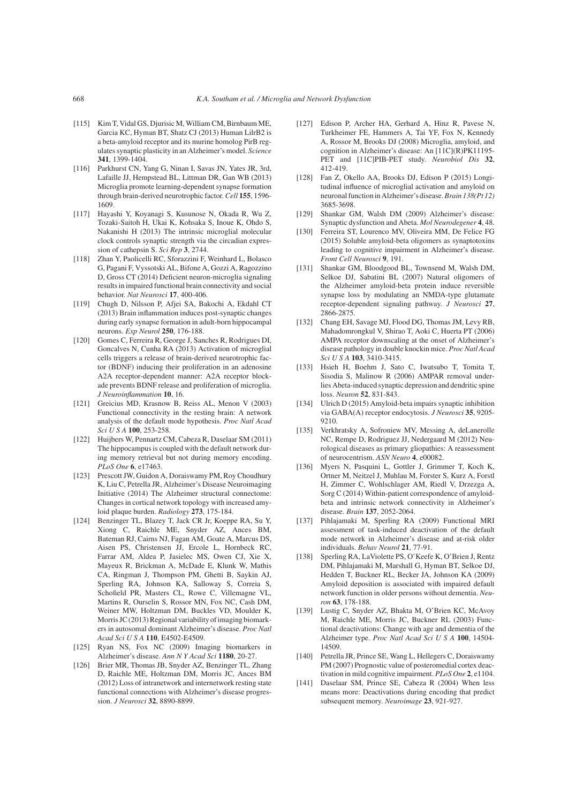- [115] Kim T, Vidal GS, Djurisic M, William CM, Birnbaum ME, Garcia KC, Hyman BT, Shatz CJ (2013) Human LilrB2 is a beta-amyloid receptor and its murine homolog PirB regulates synaptic plasticity in an Alzheimer's model. *Science* **341**, 1399-1404.
- [116] Parkhurst CN, Yang G, Ninan I, Savas JN, Yates JR, 3rd, Lafaille JJ, Hempstead BL, Littman DR, Gan WB (2013) Microglia promote learning-dependent synapse formation through brain-derived neurotrophic factor. *Cell* **155**, 1596- 1609.
- [117] Hayashi Y, Koyanagi S, Kusunose N, Okada R, Wu Z, Tozaki-Saitoh H, Ukai K, Kohsaka S, Inoue K, Ohdo S, Nakanishi H (2013) The intrinsic microglial molecular clock controls synaptic strength via the circadian expression of cathepsin S. *Sci Rep* **3**, 2744.
- [118] Zhan Y, Paolicelli RC, Sforazzini F, Weinhard L, Bolasco G, Pagani F, Vyssotski AL, Bifone A, Gozzi A, Ragozzino D, Gross CT (2014) Deficient neuron-microglia signaling results in impaired functional brain connectivity and social behavior. *Nat Neurosci* **17**, 400-406.
- [119] Chugh D, Nilsson P, Afjei SA, Bakochi A, Ekdahl CT (2013) Brain inflammation induces post-synaptic changes during early synapse formation in adult-born hippocampal neurons. *Exp Neurol* **250**, 176-188.
- [120] Gomes C, Ferreira R, George J, Sanches R, Rodrigues DI, Goncalves N, Cunha RA (2013) Activation of microglial cells triggers a release of brain-derived neurotrophic factor (BDNF) inducing their proliferation in an adenosine A2A receptor-dependent manner: A2A receptor blockade prevents BDNF release and proliferation of microglia. *J Neuroinflammation* **10**, 16.
- [121] Greicius MD, Krasnow B, Reiss AL, Menon V (2003) Functional connectivity in the resting brain: A network analysis of the default mode hypothesis. *Proc Natl Acad Sci U S A* **100**, 253-258.
- [122] Huijbers W, Pennartz CM, Cabeza R, Daselaar SM (2011) The hippocampus is coupled with the default network during memory retrieval but not during memory encoding. *PLoS One* **6**, e17463.
- [123] Prescott JW, Guidon A, Doraiswamy PM, Roy Choudhury K, Liu C, Petrella JR, Alzheimer's Disease Neuroimaging Initiative (2014) The Alzheimer structural connectome: Changes in cortical network topology with increased amyloid plaque burden. *Radiology* **273**, 175-184.
- [124] Benzinger TL, Blazey T, Jack CR Jr, Koeppe RA, Su Y, Xiong C, Raichle ME, Snyder AZ, Ances BM, Bateman RJ, Cairns NJ, Fagan AM, Goate A, Marcus DS, Aisen PS, Christensen JJ, Ercole L, Hornbeck RC, Farrar AM, Aldea P, Jasielec MS, Owen CJ, Xie X, Mayeux R, Brickman A, McDade E, Klunk W, Mathis CA, Ringman J, Thompson PM, Ghetti B, Saykin AJ, Sperling RA, Johnson KA, Salloway S, Correia S, Schofield PR, Masters CL, Rowe C, Villemagne VL, Martins R, Ourselin S, Rossor MN, Fox NC, Cash DM, Weiner MW, Holtzman DM, Buckles VD, Moulder K, Morris JC (2013) Regional variability of imaging biomarkers in autosomal dominant Alzheimer's disease. *Proc Natl Acad SciUSA* **110**, E4502-E4509.
- [125] Ryan NS, Fox NC (2009) Imaging biomarkers in Alzheimer's disease. *Ann N Y Acad Sci* **1180**, 20-27.
- [126] Brier MR, Thomas JB, Snyder AZ, Benzinger TL, Zhang D, Raichle ME, Holtzman DM, Morris JC, Ances BM (2012) Loss of intranetwork and internetwork resting state functional connections with Alzheimer's disease progression. *J Neurosci* **32**, 8890-8899.
- [127] Edison P, Archer HA, Gerhard A, Hinz R, Pavese N, Turkheimer FE, Hammers A, Tai YF, Fox N, Kennedy A, Rossor M, Brooks DJ (2008) Microglia, amyloid, and cognition in Alzheimer's disease: An [11C](R)PK11195- PET and [11C]PIB-PET study. *Neurobiol Dis* **32**, 412-419.
- [128] Fan Z, Okello AA, Brooks DJ, Edison P (2015) Longitudinal influence of microglial activation and amyloid on neuronal functionin Alzheimer's disease.*Brain 138(Pt 12)* 3685-3698.
- [129] Shankar GM, Walsh DM (2009) Alzheimer's disease: Synaptic dysfunction and Abeta. *Mol Neurodegener* **4**, 48.
- [130] Ferreira ST, Lourenco MV, Oliveira MM, De Felice FG (2015) Soluble amyloid-beta oligomers as synaptotoxins leading to cognitive impairment in Alzheimer's disease. *Front Cell Neurosci* **9**, 191.
- [131] Shankar GM, Bloodgood BL, Townsend M, Walsh DM, Selkoe DJ, Sabatini BL (2007) Natural oligomers of the Alzheimer amyloid-beta protein induce reversible synapse loss by modulating an NMDA-type glutamate receptor-dependent signaling pathway. *J Neurosci* **27**, 2866-2875.
- [132] Chang EH, Savage MJ, Flood DG, Thomas JM, Levy RB, Mahadomrongkul V, Shirao T, Aoki C, Huerta PT (2006) AMPA receptor downscaling at the onset of Alzheimer's disease pathology in double knockin mice. *Proc Natl Acad Sci U S A* **103**, 3410-3415.
- [133] Hsieh H, Boehm J, Sato C, Iwatsubo T, Tomita T, Sisodia S, Malinow R (2006) AMPAR removal underlies Abeta-induced synaptic depression and dendritic spine loss. *Neuron* **52**, 831-843.
- [134] Ulrich D (2015) Amyloid-beta impairs synaptic inhibition via GABA(A) receptor endocytosis. *J Neurosci* **35**, 9205- 9210.
- [135] Verkhratsky A, Sofroniew MV, Messing A, deLanerolle NC, Rempe D, Rodriguez JJ, Nedergaard M (2012) Neurological diseases as primary gliopathies: A reassessment of neurocentrism. *ASN Neuro* **4**, e00082.
- [136] Myers N, Pasquini L, Gottler J, Grimmer T, Koch K, Ortner M, Neitzel J, Muhlau M, Forster S, Kurz A, Forstl H, Zimmer C, Wohlschlager AM, Riedl V, Drzezga A, Sorg C (2014) Within-patient correspondence of amyloidbeta and intrinsic network connectivity in Alzheimer's disease. *Brain* **137**, 2052-2064.
- [137] Pihlajamaki M, Sperling RA (2009) Functional MRI assessment of task-induced deactivation of the default mode network in Alzheimer's disease and at-risk older individuals. *Behav Neurol* **21**, 77-91.
- [138] Sperling RA, LaViolette PS, O'Keefe K, O'Brien J, Rentz DM, Pihlajamaki M, Marshall G, Hyman BT, Selkoe DJ, Hedden T, Buckner RL, Becker JA, Johnson KA (2009) Amyloid deposition is associated with impaired default network function in older persons without dementia. *Neuron* **63**, 178-188.
- [139] Lustig C, Snyder AZ, Bhakta M, O'Brien KC, McAvoy M, Raichle ME, Morris JC, Buckner RL (2003) Functional deactivations: Change with age and dementia of the Alzheimer type. *Proc Natl Acad Sci U S A* **100**, 14504- 14509.
- [140] Petrella JR, Prince SE, Wang L, Hellegers C, Doraiswamy PM (2007) Prognostic value of posteromedial cortex deactivation in mild cognitive impairment. *PLoS One* **2**, e1104.
- [141] Daselaar SM, Prince SE, Cabeza R (2004) When less means more: Deactivations during encoding that predict subsequent memory. *Neuroimage* **23**, 921-927.